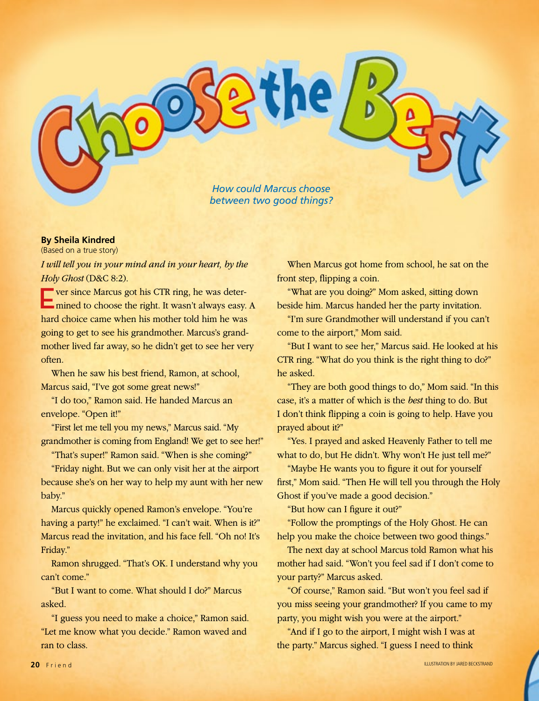

## **By Sheila Kindred**

(Based on a true story)

*I will tell you in your mind and in your heart, by the Holy Ghost* (D&C 8:2).

**EVER 19 FOR THE VER SINCE STARK WAS DETERMINED THE VEHICLE STARK IS ON THE VEHICLE STARK IS NOT THE VEHICLE STARK IS NOT THE VEHICLE STARK IS NOT THE VEHICLE STARK IS NOT THE VEHICLE STARK IS NOT THE VEHICLE STARK IS NOT** mined to choose the right. It wasn't always easy. A hard choice came when his mother told him he was going to get to see his grandmother. Marcus's grandmother lived far away, so he didn't get to see her very often.

When he saw his best friend, Ramon, at school, Marcus said, "I've got some great news!"

"I do too," Ramon said. He handed Marcus an envelope. "Open it!"

"First let me tell you my news," Marcus said. "My grandmother is coming from England! We get to see her!"

"That's super!" Ramon said. "When is she coming?"

"Friday night. But we can only visit her at the airport because she's on her way to help my aunt with her new baby."

Marcus quickly opened Ramon's envelope. "You're having a party!" he exclaimed. "I can't wait. When is it?" Marcus read the invitation, and his face fell. "Oh no! It's Friday."

Ramon shrugged. "That's OK. I understand why you can't come."

"But I want to come. What should I do?" Marcus asked.

"I guess you need to make a choice," Ramon said. "Let me know what you decide." Ramon waved and ran to class.

When Marcus got home from school, he sat on the front step, flipping a coin.

"What are you doing?" Mom asked, sitting down beside him. Marcus handed her the party invitation.

"I'm sure Grandmother will understand if you can't come to the airport," Mom said.

"But I want to see her," Marcus said. He looked at his CTR ring. "What do you think is the right thing to do?" he asked.

"They are both good things to do," Mom said. "In this case, it's a matter of which is the *best* thing to do. But I don't think flipping a coin is going to help. Have you prayed about it?"

"Yes. I prayed and asked Heavenly Father to tell me what to do, but He didn't. Why won't He just tell me?"

"Maybe He wants you to figure it out for yourself first," Mom said. "Then He will tell you through the Holy Ghost if you've made a good decision."

"But how can I figure it out?"

"Follow the promptings of the Holy Ghost. He can help you make the choice between two good things."

The next day at school Marcus told Ramon what his mother had said. "Won't you feel sad if I don't come to your party?" Marcus asked.

"Of course," Ramon said. "But won't you feel sad if you miss seeing your grandmother? If you came to my party, you might wish you were at the airport."

"And if I go to the airport, I might wish I was at the party." Marcus sighed. "I guess I need to think